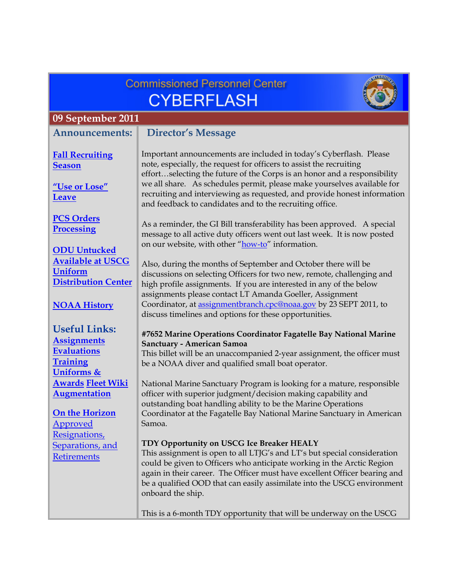|                                                                                                              | <b>Commissioned Personnel Center</b>                                                                                                                                                                                                                                                                                                                                                                                                                 |  |  |
|--------------------------------------------------------------------------------------------------------------|------------------------------------------------------------------------------------------------------------------------------------------------------------------------------------------------------------------------------------------------------------------------------------------------------------------------------------------------------------------------------------------------------------------------------------------------------|--|--|
|                                                                                                              | <b>CYBERFLASH</b>                                                                                                                                                                                                                                                                                                                                                                                                                                    |  |  |
| 09 September 2011                                                                                            |                                                                                                                                                                                                                                                                                                                                                                                                                                                      |  |  |
| <b>Announcements:</b>                                                                                        | <b>Director's Message</b>                                                                                                                                                                                                                                                                                                                                                                                                                            |  |  |
| <b>Fall Recruiting</b><br><b>Season</b><br>"Use or Lose"<br><b>Leave</b>                                     | Important announcements are included in today's Cyberflash. Please<br>note, especially, the request for officers to assist the recruiting<br>effortselecting the future of the Corps is an honor and a responsibility<br>we all share. As schedules permit, please make yourselves available for<br>recruiting and interviewing as requested, and provide honest information                                                                         |  |  |
| <b>PCS Orders</b><br><b>Processing</b><br><b>ODU</b> Untucked                                                | and feedback to candidates and to the recruiting office.<br>As a reminder, the GI Bill transferability has been approved. A special<br>message to all active duty officers went out last week. It is now posted<br>on our website, with other "how-to" information.                                                                                                                                                                                  |  |  |
| <b>Available at USCG</b><br><b>Uniform</b><br><b>Distribution Center</b><br><b>NOAA History</b>              | Also, during the months of September and October there will be<br>discussions on selecting Officers for two new, remote, challenging and<br>high profile assignments. If you are interested in any of the below<br>assignments please contact LT Amanda Goeller, Assignment<br>Coordinator, at assignmentbranch.cpc@noaa.gov by 23 SEPT 2011, to                                                                                                     |  |  |
| <b>Useful Links:</b><br><b>Assignments</b><br><b>Evaluations</b><br><b>Training</b><br><b>Uniforms &amp;</b> | discuss timelines and options for these opportunities.<br>#7652 Marine Operations Coordinator Fagatelle Bay National Marine<br>Sanctuary - American Samoa<br>This billet will be an unaccompanied 2-year assignment, the officer must<br>be a NOAA diver and qualified small boat operator.                                                                                                                                                          |  |  |
| <b>Awards Fleet Wiki</b><br><b>Augmentation</b><br>On the Horizon<br><b>Approved</b>                         | National Marine Sanctuary Program is looking for a mature, responsible<br>officer with superior judgment/decision making capability and<br>outstanding boat handling ability to be the Marine Operations<br>Coordinator at the Fagatelle Bay National Marine Sanctuary in American<br>Samoa.                                                                                                                                                         |  |  |
| Resignations,<br>Separations, and<br><b>Retirements</b>                                                      | TDY Opportunity on USCG Ice Breaker HEALY<br>This assignment is open to all LTJG's and LT's but special consideration<br>could be given to Officers who anticipate working in the Arctic Region<br>again in their career. The Officer must have excellent Officer bearing and<br>be a qualified OOD that can easily assimilate into the USCG environment<br>onboard the ship.<br>This is a 6-month TDY opportunity that will be underway on the USCG |  |  |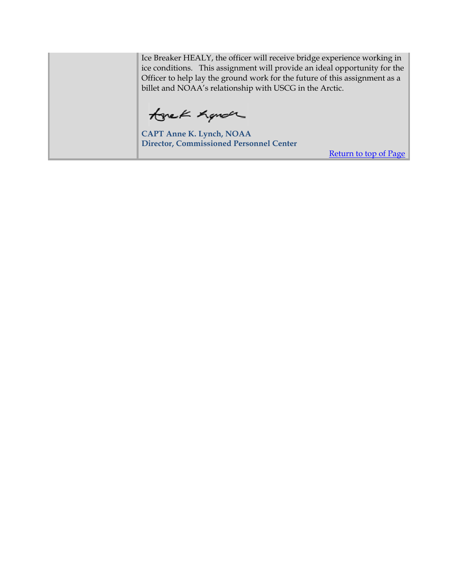Ice Breaker HEALY, the officer will receive bridge experience working in ice conditions. This assignment will provide an ideal opportunity for the Officer to help lay the ground work for the future of this assignment as a billet and NOAA's relationship with USCG in the Arctic.

tonek Land

**CAPT Anne K. Lynch, NOAA Director, Commissioned Personnel Center** 

Return to top of Page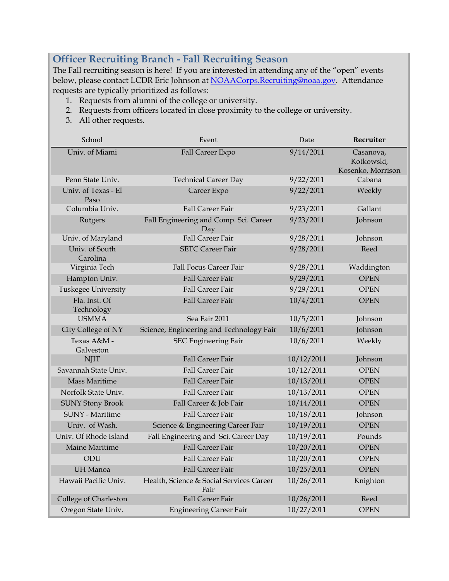# <span id="page-2-0"></span>**Officer Recruiting Branch - Fall Recruiting Season**

The Fall recruiting season is here! If you are interested in attending any of the "open" events below, please contact LCDR Eric Johnson at NOAACorps.Recruiting@noaa.gov. Attendance requests are typically prioritized as follows:

- 1. Requests from alumni of the college or university.
- 2. Requests from officers located in close proximity to the college or university.
- 3. All other requests.

| School                      | Event                                            | Date       | Recruiter                                    |
|-----------------------------|--------------------------------------------------|------------|----------------------------------------------|
| Univ. of Miami              | Fall Career Expo                                 | 9/14/2011  | Casanova,<br>Kotkowski,<br>Kosenko, Morrison |
| Penn State Univ.            | <b>Technical Career Day</b>                      | 9/22/2011  | Cabana                                       |
| Univ. of Texas - El<br>Paso | Career Expo                                      | 9/22/2011  | Weekly                                       |
| Columbia Univ.              | <b>Fall Career Fair</b>                          | 9/23/2011  | Gallant                                      |
| Rutgers                     | Fall Engineering and Comp. Sci. Career<br>Day    | 9/23/2011  | Johnson                                      |
| Univ. of Maryland           | <b>Fall Career Fair</b>                          | 9/28/2011  | Johnson                                      |
| Univ. of South<br>Carolina  | <b>SETC Career Fair</b>                          | 9/28/2011  | Reed                                         |
| Virginia Tech               | <b>Fall Focus Career Fair</b>                    | 9/28/2011  | Waddington                                   |
| Hampton Univ.               | <b>Fall Career Fair</b>                          | 9/29/2011  | <b>OPEN</b>                                  |
| Tuskegee University         | <b>Fall Career Fair</b>                          | 9/29/2011  | <b>OPEN</b>                                  |
| Fla. Inst. Of<br>Technology | Fall Career Fair                                 | 10/4/2011  | <b>OPEN</b>                                  |
| <b>USMMA</b>                | Sea Fair 2011                                    | 10/5/2011  | Johnson                                      |
| City College of NY          | Science, Engineering and Technology Fair         | 10/6/2011  | Johnson                                      |
| Texas A&M -<br>Galveston    | <b>SEC Engineering Fair</b>                      | 10/6/2011  | Weekly                                       |
| <b>NJIT</b>                 | Fall Career Fair                                 | 10/12/2011 | Johnson                                      |
| Savannah State Univ.        | <b>Fall Career Fair</b>                          | 10/12/2011 | <b>OPEN</b>                                  |
| <b>Mass Maritime</b>        | <b>Fall Career Fair</b>                          | 10/13/2011 | <b>OPEN</b>                                  |
| Norfolk State Univ.         | <b>Fall Career Fair</b>                          | 10/13/2011 | <b>OPEN</b>                                  |
| <b>SUNY Stony Brook</b>     | Fall Career & Job Fair                           | 10/14/2011 | <b>OPEN</b>                                  |
| <b>SUNY</b> - Maritime      | <b>Fall Career Fair</b>                          | 10/18/2011 | Johnson                                      |
| Univ. of Wash.              | Science & Engineering Career Fair                | 10/19/2011 | <b>OPEN</b>                                  |
| Univ. Of Rhode Island       | Fall Engineering and Sci. Career Day             | 10/19/2011 | Pounds                                       |
| Maine Maritime              | <b>Fall Career Fair</b>                          | 10/20/2011 | <b>OPEN</b>                                  |
| ODU                         | <b>Fall Career Fair</b>                          | 10/20/2011 | <b>OPEN</b>                                  |
| <b>UH</b> Manoa             | <b>Fall Career Fair</b>                          | 10/25/2011 | <b>OPEN</b>                                  |
| Hawaii Pacific Univ.        | Health, Science & Social Services Career<br>Fair | 10/26/2011 | Knighton                                     |
| College of Charleston       | Fall Career Fair                                 | 10/26/2011 | Reed                                         |
| Oregon State Univ.          | <b>Engineering Career Fair</b>                   | 10/27/2011 | <b>OPEN</b>                                  |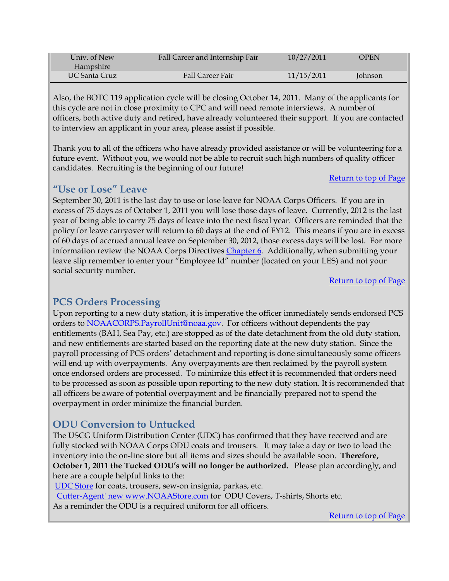<span id="page-3-0"></span>

| Univ. of New<br>Hampshire | Fall Career and Internship Fair | 10/27/2011 | OPEN    |  |
|---------------------------|---------------------------------|------------|---------|--|
| UC Santa Cruz             | Fall Career Fair                | 11/15/2011 | Johnson |  |

Also, the BOTC 119 application cycle will be closing October 14, 2011. Many of the applicants for this cycle are not in close proximity to CPC and will need remote interviews. A number of officers, both active duty and retired, have already volunteered their support. If you are contacted to interview an applicant in your area, please assist if possible.

Thank you to all of the officers who have already provided assistance or will be volunteering for a future event. Without you, we would not be able to recruit such high numbers of quality officer candidates. Recruiting is the beginning of our future!

#### Return to top of Page

#### **"Use or Lose" Leave**

September 30, 2011 is the last day to use or lose leave for NOAA Corps Officers. If you are in excess of 75 days as of October 1, 2011 you will lose those days of leave. Currently, 2012 is the last year of being able to carry 75 days of leave into the next fiscal year. Officers are reminded that the policy for leave carryover will return to 60 days at the end of FY12. This means if you are in excess of 60 days of accrued annual leave on September 30, 2012, those excess days will be lost. For more information review the NOAA Corps Directives [Chapter 6.](http://www.corpscpc.noaa.gov/procedures/corps_directives/chapter_6/ncd_ch6.pdf) Additionally, when submitting your leave slip remember to enter your "Employee Id" number (located on your LES) and not your social security number.

Return to top of Page

## **PCS Orders Processing**

Upon reporting to a new duty station, it is imperative the officer immediately sends endorsed PCS orders to NOAACORPS.PayrollUnit@noaa.gov. For officers without dependents the pay entitlements (BAH, Sea Pay, etc.) are stopped as of the date detachment from the old duty station, and new entitlements are started based on the reporting date at the new duty station. Since the payroll processing of PCS orders' detachment and reporting is done simultaneously some officers will end up with overpayments. Any overpayments are then reclaimed by the payroll system once endorsed orders are processed. To minimize this effect it is recommended that orders need to be processed as soon as possible upon reporting to the new duty station. It is recommended that all officers be aware of potential overpayment and be financially prepared not to spend the overpayment in order minimize the financial burden.

## **ODU Conversion to Untucked**

The USCG Uniform Distribution Center (UDC) has confirmed that they have received and are fully stocked with NOAA Corps ODU coats and trousers. It may take a day or two to load the inventory into the on-line store but all items and sizes should be available soon. **Therefore, October 1, 2011 the Tucked ODU's will no longer be authorized.** Please plan accordingly, and here are a couple helpful links to the:

[UDC Store](https://udcistore.net/istore/loginpage.jsp) for coats, trousers, sew-on insignia, parkas, etc.

Cutter-Agent' new www.NOAAStore.com for ODU Covers, T-shirts, Shorts etc.

As a reminder the ODU is a required uniform for all officers.

Return to top of Page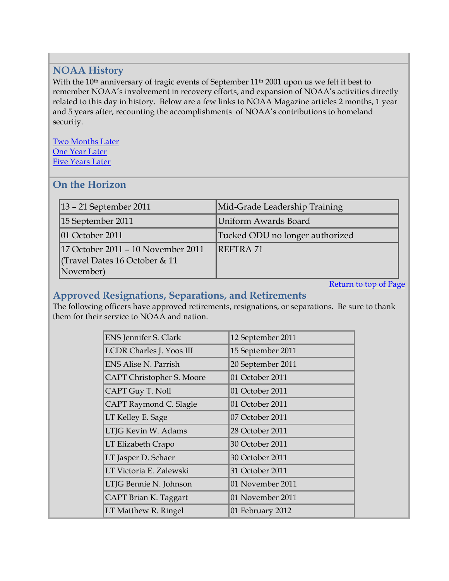# <span id="page-4-0"></span>**NOAA History**

With the 10<sup>th</sup> anniversary of tragic events of September 11<sup>th</sup> 2001 upon us we felt it best to remember NOAA's involvement in recovery efforts, and expansion of NOAA's activities directly related to this day in history. Below are a few links to NOAA Magazine articles 2 months, 1 year and 5 years after, recounting the accomplishments of NOAA's contributions to homeland security.

[Two Months Later](http://www.magazine.noaa.gov/stories/mag2.htm) [One Year Later](http://www.magazine.noaa.gov/stories/mag53.htm)  [Five Years Later](http://www.magazine.noaa.gov/stories/mag209.htm)

#### **On the Horizon**

| $ 13 - 21$ September 2011                                                       | Mid-Grade Leadership Training   |
|---------------------------------------------------------------------------------|---------------------------------|
| 15 September 2011                                                               | Uniform Awards Board            |
| $ 01$ October 2011                                                              | Tucked ODU no longer authorized |
| 17 October 2011 - 10 November 2011<br>Travel Dates 16 October & 11<br>November) | <b>REFTRA71</b>                 |

Return to top of Page

# **Approved Resignations, Separations, and Retirements**

The following officers have approved retirements, resignations, or separations. Be sure to thank them for their service to NOAA and nation.

| <b>ENS</b> Jennifer S. Clark | 12 September 2011 |
|------------------------------|-------------------|
| LCDR Charles J. Yoos III     | 15 September 2011 |
| <b>ENS Alise N. Parrish</b>  | 20 September 2011 |
| CAPT Christopher S. Moore    | 01 October 2011   |
| CAPT Guy T. Noll             | 01 October 2011   |
| CAPT Raymond C. Slagle       | 01 October 2011   |
| LT Kelley E. Sage            | 07 October 2011   |
| LTJG Kevin W. Adams          | 28 October 2011   |
| LT Elizabeth Crapo           | 30 October 2011   |
| LT Jasper D. Schaer          | 30 October 2011   |
| LT Victoria E. Zalewski      | 31 October 2011   |
| LTJG Bennie N. Johnson       | 01 November 2011  |
| CAPT Brian K. Taggart        | 01 November 2011  |
| LT Matthew R. Ringel         | 01 February 2012  |